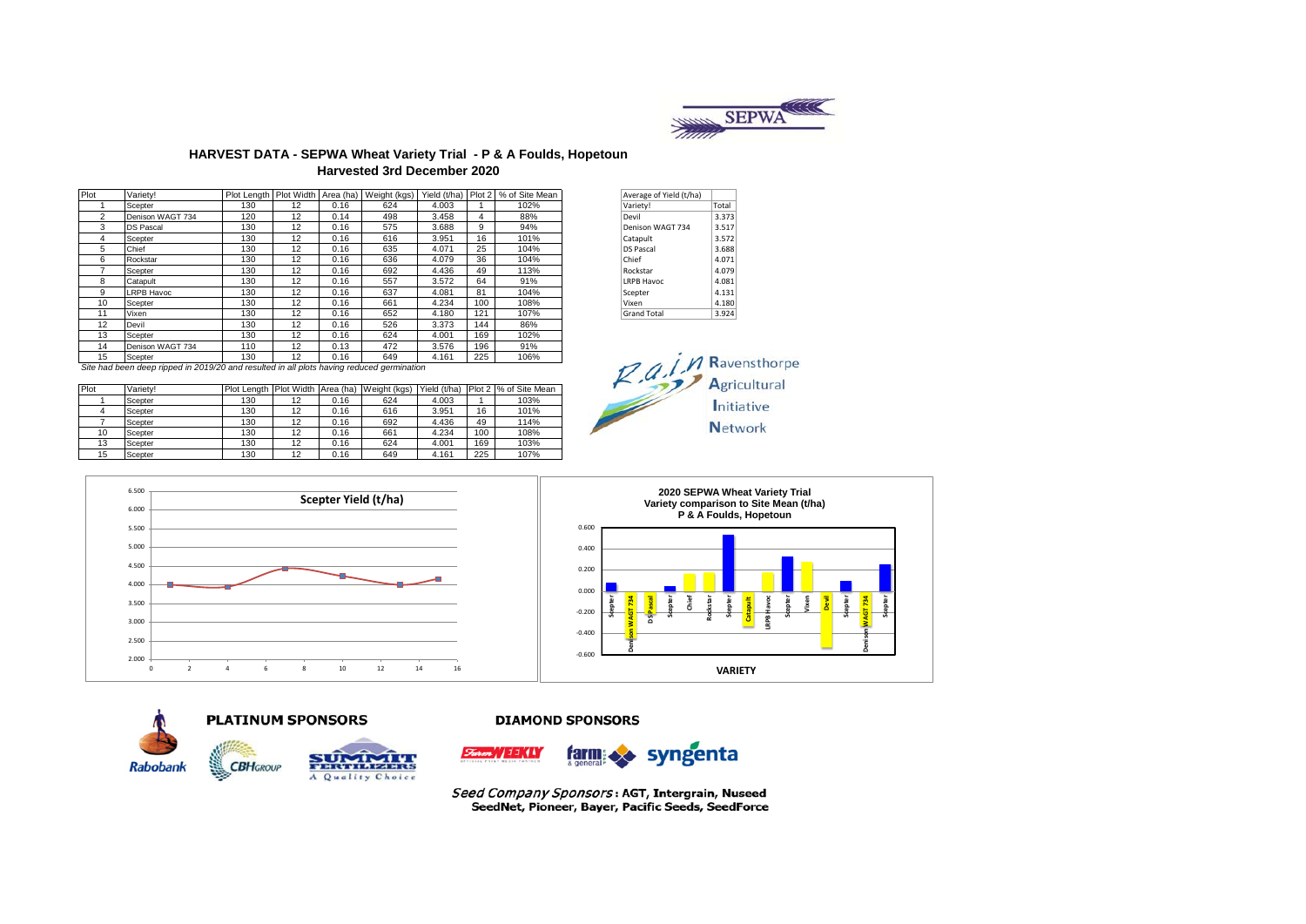

### **HARVEST DATA - SEPWA Wheat Variety Trial - P & A Foulds, Hopetoun Harvested 3rd December 2020**

| Plot           | Varietv!          |     |    |      | Plot Length   Plot Width   Area (ha)   Weight (kgs) |       |     | Yield (t/ha) Plot 2 % of Site Mean | Average of Yield (t/ha)  |                      |
|----------------|-------------------|-----|----|------|-----------------------------------------------------|-------|-----|------------------------------------|--------------------------|----------------------|
|                | Scepter           | 130 | 12 | 0.16 | 624                                                 | 4.003 |     | 102%                               | Variety!                 | Total                |
| $\overline{2}$ | Denison WAGT 734  | 120 | 12 | 0.14 | 498                                                 | 3.458 | 4   | 88%                                | Devil                    | 3.373                |
| 3              | <b>DS Pascal</b>  | 130 | 12 | 0.16 | 575                                                 | 3.688 | 9   | 94%                                | Denison WAGT 734         | 3.517                |
| 4              | Scepter           | 130 | 12 | 0.16 | 616                                                 | 3.951 | 16  | 101%                               | Catapult                 | 3.572                |
| 5              | Chief             | 130 | 12 | 0.16 | 635                                                 | 4.071 | 25  | 104%                               | <b>DS Pascal</b>         | 3.688                |
| 6              | Rockstar          | 130 | 12 | 0.16 | 636                                                 | 4.079 | 36  | 104%                               | Chief                    | 4.071                |
|                | Scepter           | 130 | 12 | 0.16 | 692                                                 | 4.436 | 49  | 113%                               | Rockstar                 | 4.079                |
| 8              | Catapult          | 130 | 12 | 0.16 | 557                                                 | 3.572 | 64  | 91%                                | <b>LRPB Havoc</b>        | 4.081                |
| 9              | <b>LRPB Havoc</b> | 130 | 12 | 0.16 | 637                                                 | 4.081 | 81  | 104%                               | Scepter                  | 4.131                |
| 10             | Scepter           | 130 | 12 | 0.16 | 661                                                 | 4.234 | 100 | 108%                               | Vixen                    | 4.180                |
| 11             | Vixen             | 130 | 12 | 0.16 | 652                                                 | 4.180 | 121 | 107%                               | <b>Grand Total</b>       | 3.924                |
| 12             | Devil             | 130 | 12 | 0.16 | 526                                                 | 3.373 | 144 | 86%                                |                          |                      |
| 13             | Scepter           | 130 | 12 | 0.16 | 624                                                 | 4.001 | 169 | 102%                               |                          |                      |
| 14             | Denison WAGT 734  | 110 | 12 | 0.13 | 472                                                 | 3.576 | 196 | 91%                                |                          |                      |
| 15             | Scepter           | 130 | 12 | 0.16 | 649                                                 | 4.161 | 225 | 106%                               | $\overline{\phantom{a}}$ | $M$ R <sub>211</sub> |

| Average of Yield (t/ha) |       |
|-------------------------|-------|
| Variety!                | Total |
| Devil                   | 3.373 |
| Denison WAGT 734        | 3.517 |
| Catapult                | 3.572 |
| <b>DS Pascal</b>        | 3.688 |
| Chief                   | 4.071 |
| Rockstar                | 4.079 |
| <b>LRPB Havoc</b>       | 4.081 |
| Scepter                 | 4.131 |
| Vixen                   | 4.180 |
| <b>Grand Total</b>      | 3.924 |

*Site had been deep ripped in 2019/20 and resulted in all plots having reduced germination*

| Plot | Variety! |     |    |      | Plot Length Plot Width Area (ha) Weight (kgs) | Yield (t/ha) |     | Plot 2 % of Site Mean |
|------|----------|-----|----|------|-----------------------------------------------|--------------|-----|-----------------------|
|      | Scepter  | 130 |    | 0.16 | 624                                           | 4.003        |     | 103%                  |
|      | Scepter  | 130 | 12 | 0.16 | 616                                           | 3.951        | 16  | 101%                  |
|      | Scepter  | 130 | 12 | 0.16 | 692                                           | 4.436        | 49  | 114%                  |
| 10   | Scepter  | 130 | 12 | 0.16 | 661                                           | 4.234        | 100 | 108%                  |
| 13   | Scepter  | 130 | 12 | 0.16 | 624                                           | 4.001        | 169 | 103%                  |
| 15   | Scepter  | 130 | 12 | 0.16 | 649                                           | 4.161        | 225 | 107%                  |







#### **DIAMOND SPONSORS**



Seed Company Sponsors: AGT, Intergrain, Nuseed SeedNet, Pioneer, Bayer, Pacific Seeds, SeedForce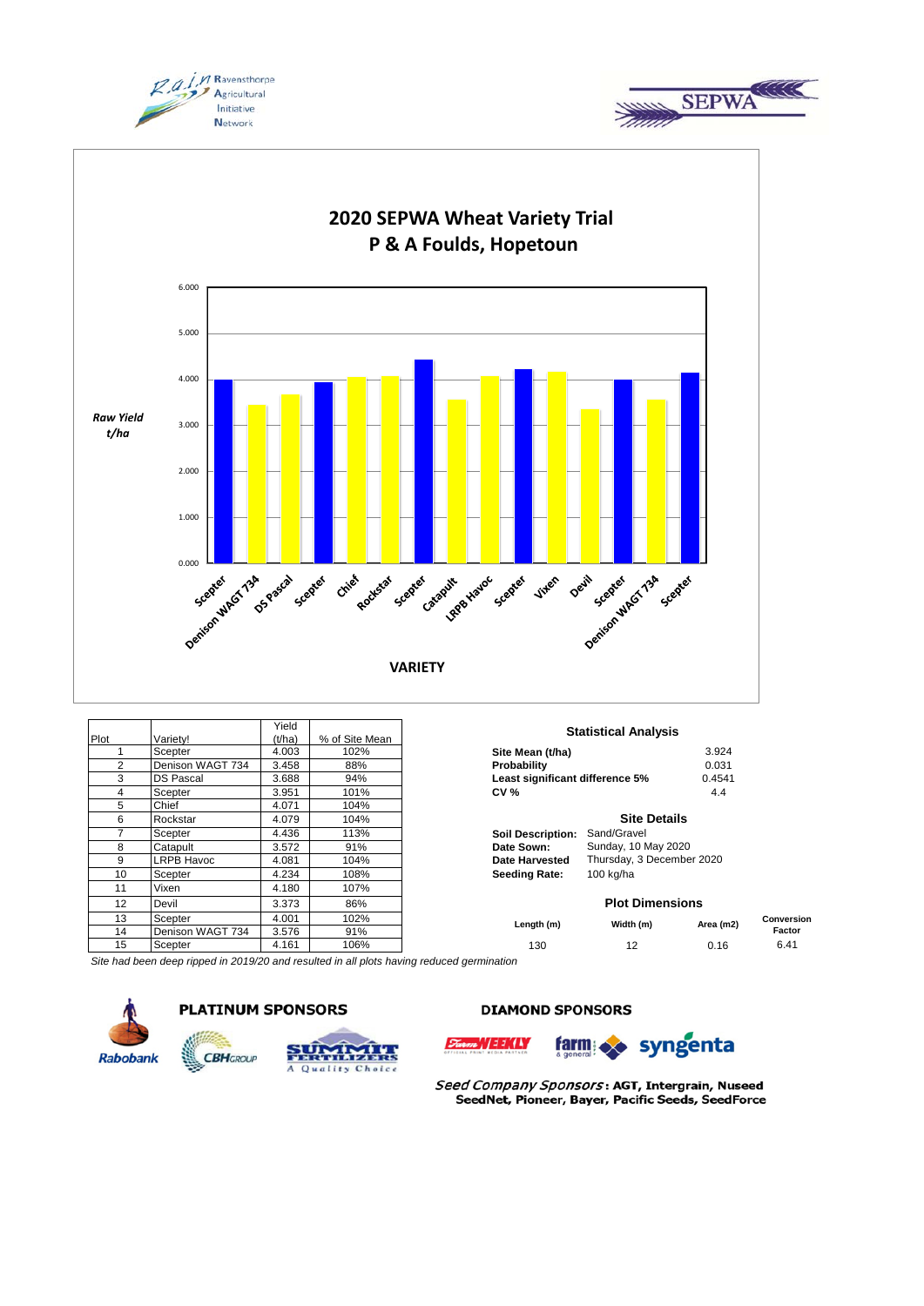





|      |                   | Yield  |                |                                 |                             |          |
|------|-------------------|--------|----------------|---------------------------------|-----------------------------|----------|
| Plot | Variety!          | (t/ha) | % of Site Mean |                                 | <b>Statistical Analysis</b> |          |
|      | Scepter           | 4.003  | 102%           | Site Mean (t/ha)                |                             | 3.924    |
| 2    | Denison WAGT 734  | 3.458  | 88%            | Probability                     |                             | 0.031    |
| 3    | <b>DS Pascal</b>  | 3.688  | 94%            | Least significant difference 5% |                             | 0.4541   |
| 4    | Scepter           | 3.951  | 101%           | <b>CV %</b>                     |                             | 4.4      |
| 5    | Chief             | 4.071  | 104%           |                                 |                             |          |
| 6    | Rockstar          | 4.079  | 104%           |                                 | <b>Site Details</b>         |          |
| 7    | Scepter           | 4.436  | 113%           | <b>Soil Description:</b>        | Sand/Gravel                 |          |
| 8    | Catapult          | 3.572  | 91%            | Date Sown:                      | Sunday, 10 May 2020         |          |
| 9    | <b>LRPB Havoc</b> | 4.081  | 104%           | Date Harvested                  | Thursday, 3 December 2020   |          |
| 10   | Scepter           | 4.234  | 108%           | <b>Seeding Rate:</b>            | 100 kg/ha                   |          |
| 11   | Vixen             | 4.180  | 107%           |                                 |                             |          |
| 12   | Devil             | 3.373  | 86%            |                                 | <b>Plot Dimensions</b>      |          |
| 13   | Scepter           | 4.001  | 102%           |                                 |                             |          |
| 14   | Denison WAGT 734  | 3.576  | 91%            | Length (m)                      | Width (m)                   | Area (m2 |
| 15   | Scepter           | 4.161  | 106%           | 130                             | 12                          | 0.16     |

| Site Mean (t/ha)                | 3.924  |
|---------------------------------|--------|
| <b>Probability</b>              | 0.031  |
| Least significant difference 5% | 0.454' |
| <b>CV %</b>                     | 44     |

## **Site Details**

| Soil Description: Sand/Gravel |                           |
|-------------------------------|---------------------------|
| Date Sown:                    | Sunday, 10 May 2020       |
| Date Harvested                | Thursday, 3 December 2020 |
| Seeding Rate:                 | $100$ kg/ha               |

### **Plot Dimensions**

| 13              | Scepter                    | 4.001           | 102%   | Length (m) | Width (m) | Area (m2)   | Conversion |
|-----------------|----------------------------|-----------------|--------|------------|-----------|-------------|------------|
| 14              | <b>WAGT 734</b><br>Denison | 3.576           | 91%    |            |           |             | Factor     |
| 15              | Scepter                    | 161<br>1. I U I | '06%   | 130        | . .       | <b>v.IV</b> | 0.4 I      |
| $\cdot$ $\cdot$ | .                          |                 | .<br>. |            |           |             |            |

*Site had been deep ripped in 2019/20 and resulted in all plots having reduced germination*







# **DIAMOND SPONSORS**





Seed Company Sponsors: AGT, Intergrain, Nuseed SeedNet, Pioneer, Bayer, Pacific Seeds, SeedForce